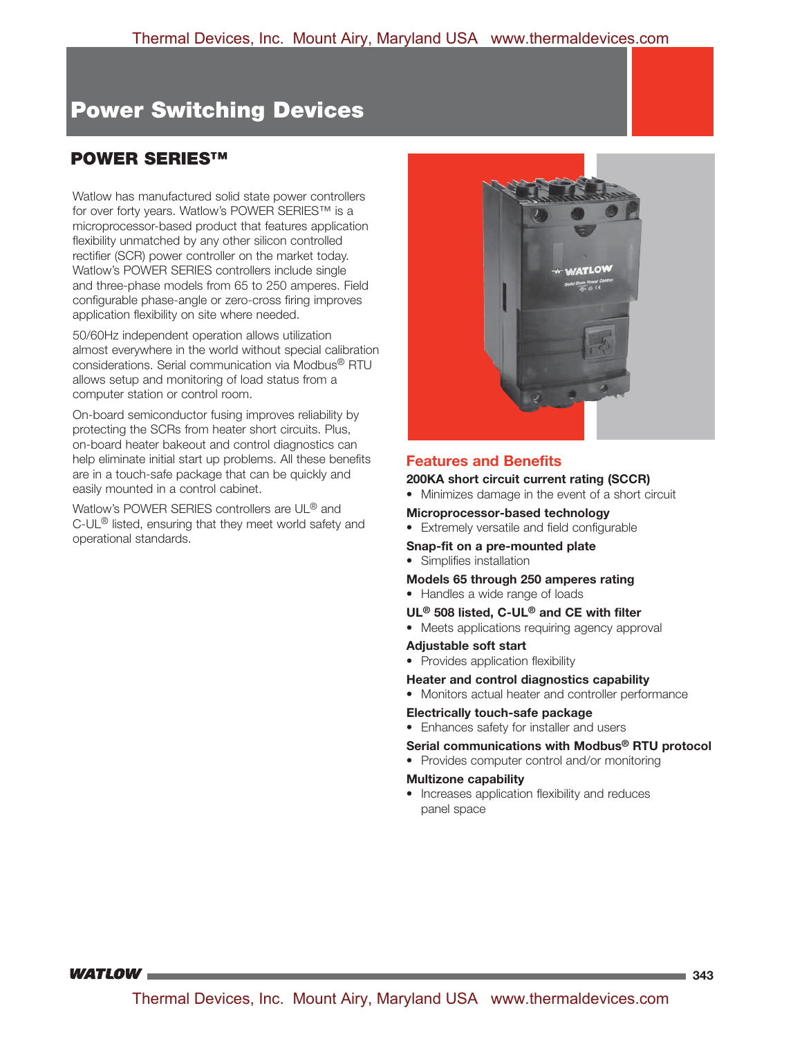# **POWER SERIES™ POWER SERIES™**

Watlow has manufactured solid state power controllers for over forty years. Watlow's POWER SERIES™ is a microprocessor-based product that features application flexibility unmatched by any other silicon controlled rectifier (SCR) power controller on the market today. Watlow's POWER SERIES controllers include single and three-phase models from 65 to 250 amperes. Field configurable phase-angle or zero-cross firing improves application flexibility on site where needed.

50/60Hz independent operation allows utilization almost everywhere in the world without special calibration considerations. Serial communication via Modbus® RTU allows setup and monitoring of load status from a computer station or control room.

On-board semiconductor fusing improves reliability by protecting the SCRs from heater short circuits. Plus, on-board heater bakeout and control diagnostics can help eliminate initial start up problems. All these benefits are in a touch-safe package that can be quickly and easily mounted in a control cabinet.

Watlow's POWER SERIES controllers are UL® and C-UL® listed, ensuring that they meet world safety and operational standards.



# **Features and Benefits**

**200KA short circuit current rating (SCCR)** 

• Minimizes damage in the event of a short circuit

#### **Microprocessor-based technology**

• Extremely versatile and field configurable

#### **Snap-fit on a pre-mounted plate**

• Simplifies installation

#### **Models 65 through 250 amperes rating**

• Handles a wide range of loads

#### **UL® 508 listed, C-UL® and CE with filter**

• Meets applications requiring agency approval

#### **Adjustable soft start**

• Provides application flexibility

#### **Heater and control diagnostics capability**

• Monitors actual heater and controller performance

#### **Electrically touch-safe package**

• Enhances safety for installer and users

#### **Serial communications with Modbus® RTU protocol**

• Provides computer control and/or monitoring

#### **Multizone capability**

• Increases application flexibility and reduces panel space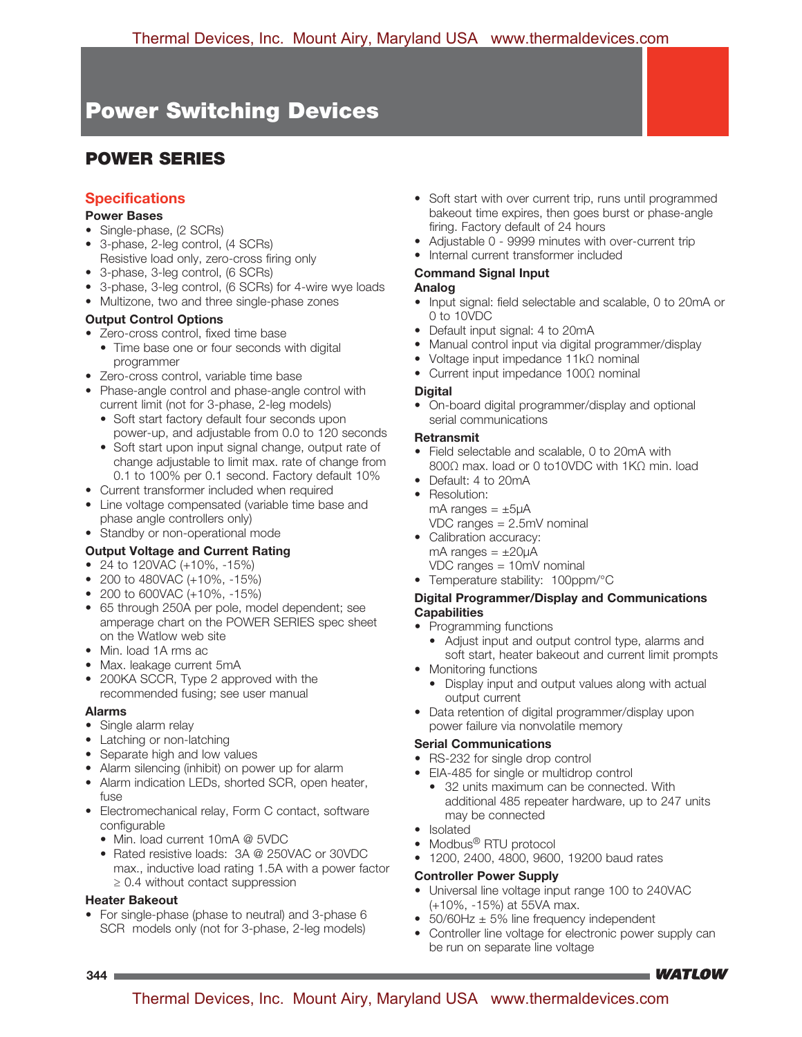# **POWER SERIES POWER SERIES**

# **Specifications**

#### **Power Bases**

- Single-phase, (2 SCRs)
- 3-phase, 2-leg control, (4 SCRs)
- Resistive load only, zero-cross firing only
- 3-phase, 3-leg control, (6 SCRs)
- 3-phase, 3-leg control, (6 SCRs) for 4-wire wye loads
- Multizone, two and three single-phase zones

### **Output Control Options**

- Zero-cross control, fixed time base
	- Time base one or four seconds with digital programmer
- Zero-cross control, variable time base
- Phase-angle control and phase-angle control with current limit (not for 3-phase, 2-leg models)
	- Soft start factory default four seconds upon power-up, and adjustable from 0.0 to 120 seconds
	- Soft start upon input signal change, output rate of change adjustable to limit max. rate of change from 0.1 to 100% per 0.1 second. Factory default 10%
- Current transformer included when required
- Line voltage compensated (variable time base and phase angle controllers only)
- Standby or non-operational mode

# **Output Voltage and Current Rating**

- 24 to 120VAC (+10%, -15%)
- 200 to 480VAC (+10%, -15%)
- 200 to 600VAC (+10%, -15%)
- 65 through 250A per pole, model dependent; see amperage chart on the POWER SERIES spec sheet on the Watlow web site
- Min. load 1A rms ac
- Max. leakage current 5mA
- 200KA SCCR, Type 2 approved with the recommended fusing; see user manual

#### **Alarms**

- Single alarm relay
- Latching or non-latching
- Separate high and low values
- Alarm silencing (inhibit) on power up for alarm
- Alarm indication LEDs, shorted SCR, open heater, fuse
- Electromechanical relay, Form C contact, software configurable
	- Min. load current 10mA @ 5VDC
	- Rated resistive loads: 3A @ 250VAC or 30VDC max., inductive load rating 1.5A with a power factor ≥ 0.4 without contact suppression

#### **Heater Bakeout**

• For single-phase (phase to neutral) and 3-phase 6 SCR models only (not for 3-phase, 2-leg models)

- Soft start with over current trip, runs until programmed bakeout time expires, then goes burst or phase-angle firing. Factory default of 24 hours
- Adjustable 0 9999 minutes with over-current trip
- Internal current transformer included

# **Command Signal Input**

#### **Analog**

- Input signal: field selectable and scalable, 0 to 20mA or 0 to 10VDC
- Default input signal: 4 to 20mA
- Manual control input via digital programmer/display
- Voltage input impedance 11kΩ nominal
- Current input impedance 100Ω nominal

#### **Digital**

• On-board digital programmer/display and optional serial communications

#### **Retransmit**

- Field selectable and scalable, 0 to 20mA with 800Ω max. load or 0 to10VDC with 1KΩ min. load
- Default: 4 to 20mA
- Resolution:
- mA ranges  $= \pm 5\mu$ A VDC ranges = 2.5mV nominal
- Calibration accuracy: mA ranges  $= \pm 20 \mu$ A
	- VDC ranges = 10mV nominal
- Temperature stability: 100ppm/°C

#### **Digital Programmer/Display and Communications Capabilities**

- Programming functions
	- Adjust input and output control type, alarms and soft start, heater bakeout and current limit prompts
- Monitoring functions
	- Display input and output values along with actual output current
- Data retention of digital programmer/display upon power failure via nonvolatile memory

#### **Serial Communications**

- RS-232 for single drop control
- EIA-485 for single or multidrop control
	- 32 units maximum can be connected. With additional 485 repeater hardware, up to 247 units may be connected
- Isolated
- Modbus<sup>®</sup> RTU protocol
- 1200, 2400, 4800, 9600, 19200 baud rates

#### **Controller Power Supply**

- Universal line voltage input range 100 to 240VAC (+10%, -15%) at 55VA max.
- $50/60$ Hz  $\pm$  5% line frequency independent
- Controller line voltage for electronic power supply can be run on separate line voltage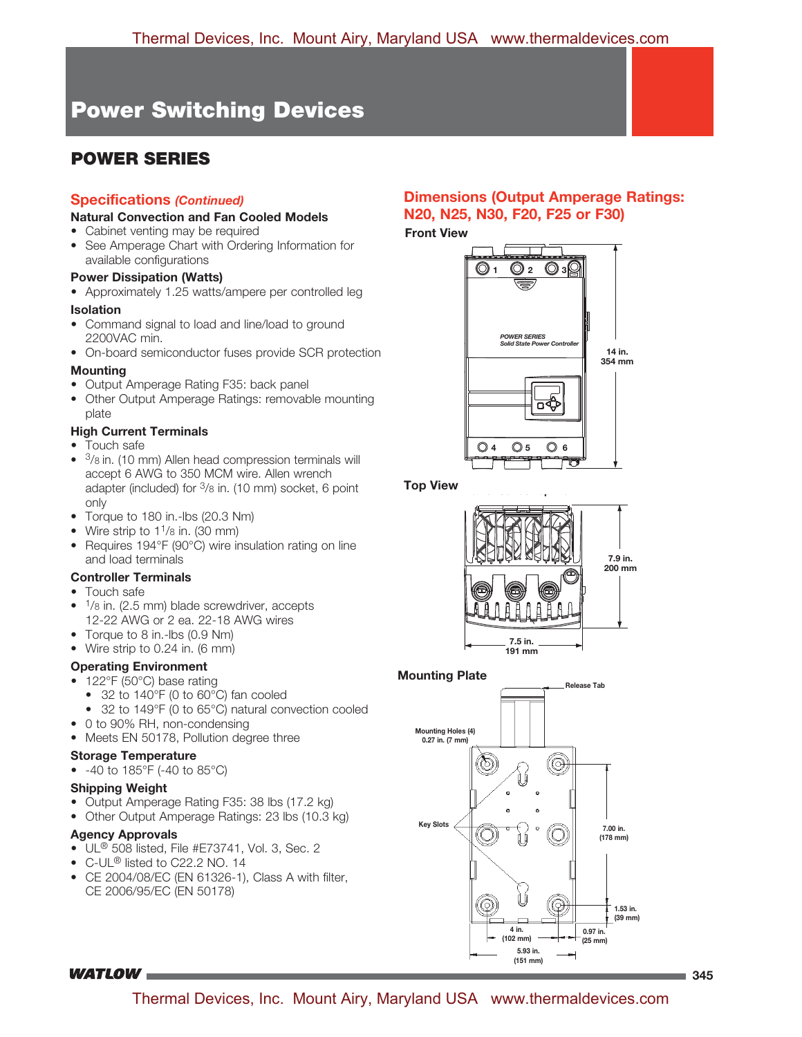# **POWER SERIES POWER SERIES**

# **Specifications** *(Continued)*

#### **Natural Convection and Fan Cooled Models**

- Cabinet venting may be required
- See Amperage Chart with Ordering Information for available configurations

#### **Power Dissipation (Watts)**

• Approximately 1.25 watts/ampere per controlled leg

### **Isolation**

- Command signal to load and line/load to ground 2200VAC min.
- On-board semiconductor fuses provide SCR protection

### **Mounting**

- Output Amperage Rating F35: back panel
- Other Output Amperage Ratings: removable mounting plate

### **High Current Terminals**

- Touch safe
- <sup>3</sup>/8 in. (10 mm) Allen head compression terminals will accept 6 AWG to 350 MCM wire. Allen wrench adapter (included) for 3/8 in. (10 mm) socket, 6 point only
- Torque to 180 in.-lbs (20.3 Nm)
- Wire strip to  $1\frac{1}{8}$  in. (30 mm)
- Requires 194°F (90°C) wire insulation rating on line and load terminals

#### **Controller Terminals**

- Touch safe
- $1$ /8 in. (2.5 mm) blade screwdriver, accepts 12-22 AWG or 2 ea. 22-18 AWG wires
- Torque to 8 in.-lbs (0.9 Nm)
- Wire strip to 0.24 in. (6 mm)

# **Operating Environment**

- 122°F (50°C) base rating
	- 32 to 140°F (0 to 60°C) fan cooled
	- 32 to 149°F (0 to 65°C) natural convection cooled
- 0 to 90% RH, non-condensing
- Meets EN 50178, Pollution degree three

# **Storage Temperature**

• -40 to 185°F (-40 to 85°C)

# **Shipping Weight**

- Output Amperage Rating F35: 38 lbs (17.2 kg)
- Other Output Amperage Ratings: 23 lbs (10.3 kg)

# **Agency Approvals**

- UL® 508 listed, File #E73741, Vol. 3, Sec. 2
- C-UL® listed to C22.2 NO. 14
- CE 2004/08/EC (EN 61326-1), Class A with filter, CE 2006/95/EC (EN 50178)

# **Dimensions (Output Amperage Ratings: N20, N25, N30, F20, F25 or F30)**

#### **Front View**



**Top View** 



# **Mounting Plate**



**WATLOW**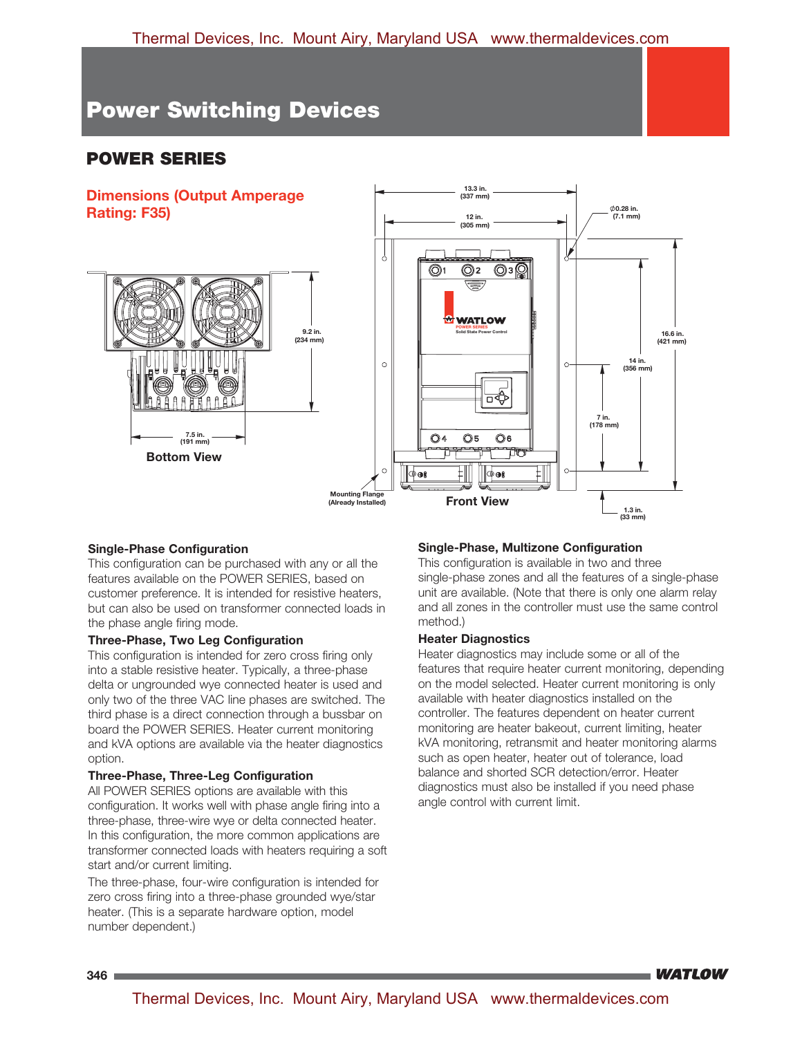# **POWER SERIES**



#### **Single-Phase Configuration**

This configuration can be purchased with any or all the features available on the POWER SERIES, based on customer preference. It is intended for resistive heaters, but can also be used on transformer connected loads in the phase angle firing mode.

#### **Three-Phase, Two Leg Configuration**

This configuration is intended for zero cross firing only into a stable resistive heater. Typically, a three-phase delta or ungrounded wye connected heater is used and only two of the three VAC line phases are switched. The third phase is a direct connection through a bussbar on board the POWER SERIES. Heater current monitoring and kVA options are available via the heater diagnostics option.

#### **Three-Phase, Three-Leg Configuration**

All POWER SERIES options are available with this configuration. It works well with phase angle firing into a three-phase, three-wire wye or delta connected heater. In this configuration, the more common applications are transformer connected loads with heaters requiring a soft start and/or current limiting.

The three-phase, four-wire configuration is intended for zero cross firing into a three-phase grounded wye/star heater. (This is a separate hardware option, model number dependent.)

#### **Single-Phase, Multizone Configuration**

This configuration is available in two and three single-phase zones and all the features of a single-phase unit are available. (Note that there is only one alarm relay and all zones in the controller must use the same control method.)

#### **Heater Diagnostics**

Heater diagnostics may include some or all of the features that require heater current monitoring, depending on the model selected. Heater current monitoring is only available with heater diagnostics installed on the controller. The features dependent on heater current monitoring are heater bakeout, current limiting, heater kVA monitoring, retransmit and heater monitoring alarms such as open heater, heater out of tolerance, load balance and shorted SCR detection/error. Heater diagnostics must also be installed if you need phase angle control with current limit.